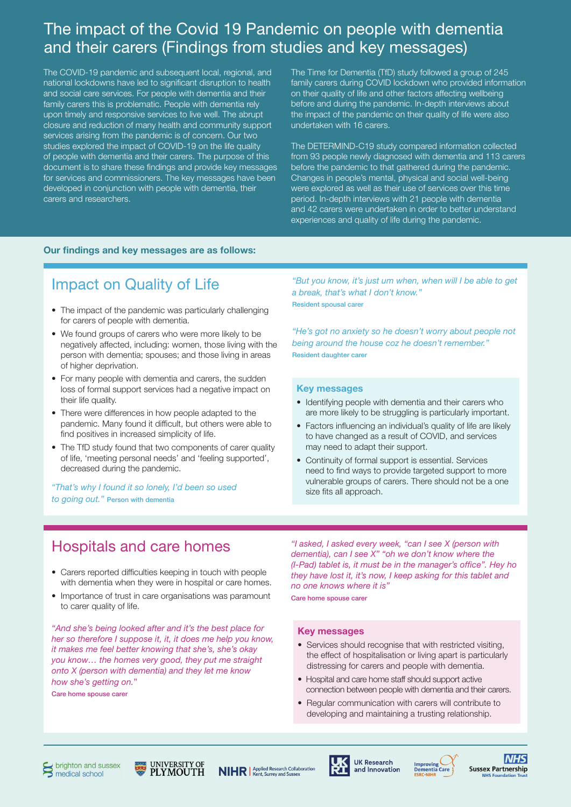## The impact of the Covid 19 Pandemic on people with dementia and their carers (Findings from studies and key messages)

The COVID-19 pandemic and subsequent local, regional, and national lockdowns have led to significant disruption to health and social care services. For people with dementia and their family carers this is problematic. People with dementia rely upon timely and responsive services to live well. The abrupt closure and reduction of many health and community support services arising from the pandemic is of concern. Our two studies explored the impact of COVID-19 on the life quality of people with dementia and their carers. The purpose of this document is to share these findings and provide key messages for services and commissioners. The key messages have been developed in conjunction with people with dementia, their carers and researchers.

The Time for Dementia (TfD) study followed a group of 245 family carers during COVID lockdown who provided information on their quality of life and other factors affecting wellbeing before and during the pandemic. In-depth interviews about the impact of the pandemic on their quality of life were also undertaken with 16 carers.

The DETERMIND-C19 study compared information collected from 93 people newly diagnosed with dementia and 113 carers before the pandemic to that gathered during the pandemic. Changes in people's mental, physical and social well-being were explored as well as their use of services over this time period. In-depth interviews with 21 people with dementia and 42 carers were undertaken in order to better understand experiences and quality of life during the pandemic.

### Our findings and key messages are as follows:

# Impact on Quality of Life

- The impact of the pandemic was particularly challenging for carers of people with dementia.
- We found groups of carers who were more likely to be negatively affected, including: women, those living with the person with dementia; spouses; and those living in areas of higher deprivation.
- For many people with dementia and carers, the sudden loss of formal support services had a negative impact on their life quality.
- There were differences in how people adapted to the pandemic. Many found it difficult, but others were able to find positives in increased simplicity of life.
- The TfD study found that two components of carer quality of life, 'meeting personal needs' and 'feeling supported', decreased during the pandemic.

*"That's why I found it so lonely, I'd been so used to going out."* Person with dementia

*"But you know, it's just um when, when will I be able to get a break, that's what I don't know."* Resident spousal carer

*"He's got no anxiety so he doesn't worry about people not being around the house coz he doesn't remember."* Resident daughter carer

#### Key messages

- Identifying people with dementia and their carers who are more likely to be struggling is particularly important.
- Factors influencing an individual's quality of life are likely to have changed as a result of COVID, and services may need to adapt their support.
- Continuity of formal support is essential. Services need to find ways to provide targeted support to more vulnerable groups of carers. There should not be a one size fits all approach.

### Hospitals and care homes

- Carers reported difficulties keeping in touch with people with dementia when they were in hospital or care homes.
- Importance of trust in care organisations was paramount to carer quality of life.

*"And she's being looked after and it's the best place for her so therefore I suppose it, it, it does me help you know, it makes me feel better knowing that she's, she's okay you know… the homes very good, they put me straight onto X (person with dementia) and they let me know how she's getting on.*"

Care home spouse carer

*"I asked, I asked every week, "can I see X (person with dementia), can I see X" "oh we don't know where the (I-Pad) tablet is, it must be in the manager's office". Hey ho they have lost it, it's now, I keep asking for this tablet and no one knows where it is"*

Care home spouse carer

#### Key messages

- Services should recognise that with restricted visiting, the effect of hospitalisation or living apart is particularly distressing for carers and people with dementia.
- Hospital and care home staff should support active connection between people with dementia and their carers.
- Regular communication with carers will contribute to developing and maintaining a trusting relationship.







**UK Research** and Innovation